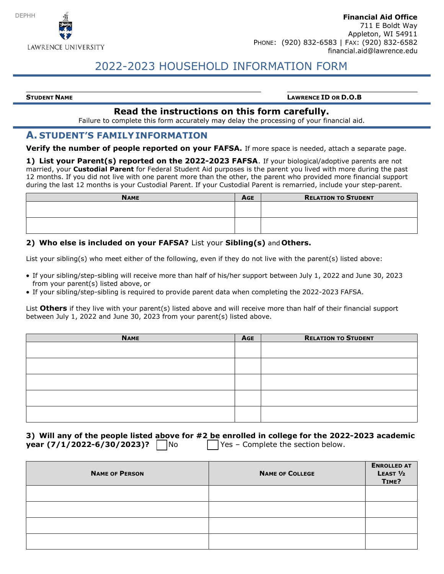

# 2022-2023 HOUSEHOLD INFORMATION FORM

#### STUDENT NAME **SETTER A SET OF A SET OF A SET OF A SET OF A SET OF A SET OF A SET OF D.O.B**

### Read the instructions on this form carefully.

Failure to complete this form accurately may delay the processing of your financial aid.

#### A. STUDENT'S FAMILY INFORMATION

Verify the number of people reported on your FAFSA. If more space is needed, attach a separate page.

1) List your Parent(s) reported on the 2022-2023 FAFSA. If your biological/adoptive parents are not married, your **Custodial Parent** for Federal Student Aid purposes is the parent you lived with more during the past 12 months. If you did not live with one parent more than the other, the parent who provided more financial support during the last 12 months is your Custodial Parent. If your Custodial Parent is remarried, include your step-parent.

| <b>NAME</b> | AGE | <b>RELATION TO STUDENT</b> |
|-------------|-----|----------------------------|
|             |     |                            |
|             |     |                            |
|             |     |                            |
|             |     |                            |

#### 2) Who else is included on your FAFSA? List your Sibling(s) and Others.

List your sibling(s) who meet either of the following, even if they do not live with the parent(s) listed above:

- If your sibling/step-sibling will receive more than half of his/her support between July 1, 2022 and June 30, 2023 from your parent(s) listed above, or
- If your sibling/step-sibling is required to provide parent data when completing the 2022-2023 FAFSA.

List Others if they live with your parent(s) listed above and will receive more than half of their financial support between July 1, 2022 and June 30, 2023 from your parent(s) listed above.

| <b>NAME</b> | <b>AGE</b> | <b>RELATION TO STUDENT</b> |
|-------------|------------|----------------------------|
|             |            |                            |
|             |            |                            |
|             |            |                            |
|             |            |                            |
|             |            |                            |
|             |            |                            |
|             |            |                            |
|             |            |                            |

|                            |                | 3) Will any of the people listed above for #2 be enrolled in college for the 2022-2023 academic |
|----------------------------|----------------|-------------------------------------------------------------------------------------------------|
| year (7/1/2022-6/30/2023)? | N <sub>O</sub> | $\vert$ Yes – Complete the section below.                                                       |

| <b>NAME OF PERSON</b> | <b>NAME OF COLLEGE</b> | <b>ENROLLED AT</b><br>LEAST $1/2$<br>TIME? |
|-----------------------|------------------------|--------------------------------------------|
|                       |                        |                                            |
|                       |                        |                                            |
|                       |                        |                                            |
|                       |                        |                                            |